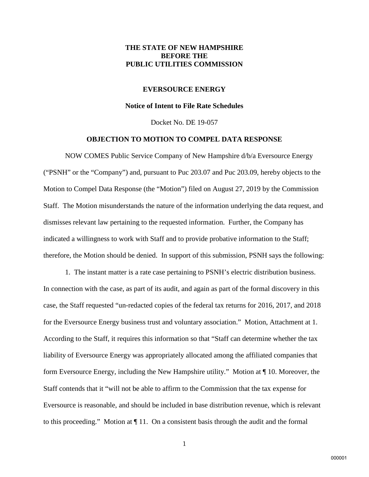## **THE STATE OF NEW HAMPSHIRE BEFORE THE PUBLIC UTILITIES COMMISSION**

#### **EVERSOURCE ENERGY**

#### **Notice of Intent to File Rate Schedules**

Docket No. DE 19-057

## **OBJECTION TO MOTION TO COMPEL DATA RESPONSE**

NOW COMES Public Service Company of New Hampshire d/b/a Eversource Energy ("PSNH" or the "Company") and, pursuant to Puc 203.07 and Puc 203.09, hereby objects to the Motion to Compel Data Response (the "Motion") filed on August 27, 2019 by the Commission Staff. The Motion misunderstands the nature of the information underlying the data request, and dismisses relevant law pertaining to the requested information. Further, the Company has indicated a willingness to work with Staff and to provide probative information to the Staff; therefore, the Motion should be denied. In support of this submission, PSNH says the following:

1. The instant matter is a rate case pertaining to PSNH's electric distribution business. In connection with the case, as part of its audit, and again as part of the formal discovery in this case, the Staff requested "un-redacted copies of the federal tax returns for 2016, 2017, and 2018 for the Eversource Energy business trust and voluntary association." Motion, Attachment at 1. According to the Staff, it requires this information so that "Staff can determine whether the tax liability of Eversource Energy was appropriately allocated among the affiliated companies that form Eversource Energy, including the New Hampshire utility." Motion at ¶ 10. Moreover, the Staff contends that it "will not be able to affirm to the Commission that the tax expense for Eversource is reasonable, and should be included in base distribution revenue, which is relevant to this proceeding." Motion at ¶ 11. On a consistent basis through the audit and the formal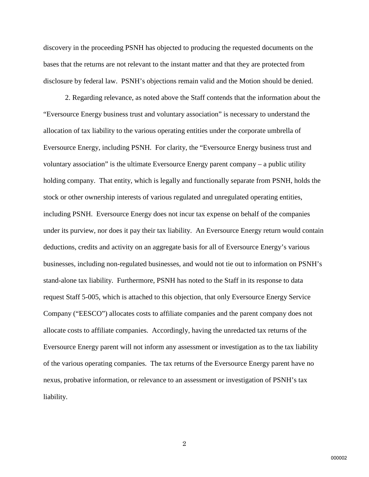discovery in the proceeding PSNH has objected to producing the requested documents on the bases that the returns are not relevant to the instant matter and that they are protected from disclosure by federal law. PSNH's objections remain valid and the Motion should be denied.

2. Regarding relevance, as noted above the Staff contends that the information about the "Eversource Energy business trust and voluntary association" is necessary to understand the allocation of tax liability to the various operating entities under the corporate umbrella of Eversource Energy, including PSNH. For clarity, the "Eversource Energy business trust and voluntary association" is the ultimate Eversource Energy parent company – a public utility holding company. That entity, which is legally and functionally separate from PSNH, holds the stock or other ownership interests of various regulated and unregulated operating entities, including PSNH. Eversource Energy does not incur tax expense on behalf of the companies under its purview, nor does it pay their tax liability. An Eversource Energy return would contain deductions, credits and activity on an aggregate basis for all of Eversource Energy's various businesses, including non-regulated businesses, and would not tie out to information on PSNH's stand-alone tax liability. Furthermore, PSNH has noted to the Staff in its response to data request Staff 5-005, which is attached to this objection, that only Eversource Energy Service Company ("EESCO") allocates costs to affiliate companies and the parent company does not allocate costs to affiliate companies. Accordingly, having the unredacted tax returns of the Eversource Energy parent will not inform any assessment or investigation as to the tax liability of the various operating companies. The tax returns of the Eversource Energy parent have no nexus, probative information, or relevance to an assessment or investigation of PSNH's tax liability.

2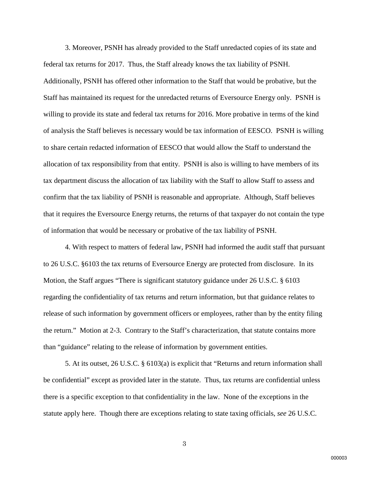3. Moreover, PSNH has already provided to the Staff unredacted copies of its state and federal tax returns for 2017. Thus, the Staff already knows the tax liability of PSNH. Additionally, PSNH has offered other information to the Staff that would be probative, but the Staff has maintained its request for the unredacted returns of Eversource Energy only. PSNH is willing to provide its state and federal tax returns for 2016. More probative in terms of the kind of analysis the Staff believes is necessary would be tax information of EESCO. PSNH is willing to share certain redacted information of EESCO that would allow the Staff to understand the allocation of tax responsibility from that entity. PSNH is also is willing to have members of its tax department discuss the allocation of tax liability with the Staff to allow Staff to assess and confirm that the tax liability of PSNH is reasonable and appropriate. Although, Staff believes that it requires the Eversource Energy returns, the returns of that taxpayer do not contain the type of information that would be necessary or probative of the tax liability of PSNH.

4. With respect to matters of federal law, PSNH had informed the audit staff that pursuant to 26 U.S.C. §6103 the tax returns of Eversource Energy are protected from disclosure. In its Motion, the Staff argues "There is significant statutory guidance under 26 U.S.C. § 6103 regarding the confidentiality of tax returns and return information, but that guidance relates to release of such information by government officers or employees, rather than by the entity filing the return." Motion at 2-3. Contrary to the Staff's characterization, that statute contains more than "guidance" relating to the release of information by government entities.

5. At its outset, 26 U.S.C. § 6103(a) is explicit that "Returns and return information shall be confidential" except as provided later in the statute. Thus, tax returns are confidential unless there is a specific exception to that confidentiality in the law. None of the exceptions in the statute apply here. Though there are exceptions relating to state taxing officials, *see* 26 U.S.C.

3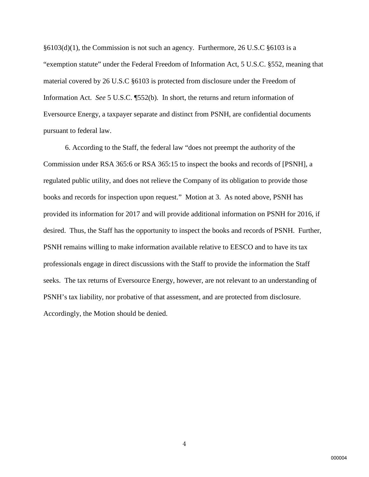$§6103(d)(1)$ , the Commission is not such an agency. Furthermore, 26 U.S.C  $§6103$  is a "exemption statute" under the Federal Freedom of Information Act, 5 U.S.C. §552, meaning that material covered by 26 U.S.C §6103 is protected from disclosure under the Freedom of Information Act. *See* 5 U.S.C. ¶552(b). In short, the returns and return information of Eversource Energy, a taxpayer separate and distinct from PSNH, are confidential documents pursuant to federal law.

6. According to the Staff, the federal law "does not preempt the authority of the Commission under RSA 365:6 or RSA 365:15 to inspect the books and records of [PSNH], a regulated public utility, and does not relieve the Company of its obligation to provide those books and records for inspection upon request." Motion at 3. As noted above, PSNH has provided its information for 2017 and will provide additional information on PSNH for 2016, if desired. Thus, the Staff has the opportunity to inspect the books and records of PSNH. Further, PSNH remains willing to make information available relative to EESCO and to have its tax professionals engage in direct discussions with the Staff to provide the information the Staff seeks. The tax returns of Eversource Energy, however, are not relevant to an understanding of PSNH's tax liability, nor probative of that assessment, and are protected from disclosure. Accordingly, the Motion should be denied.